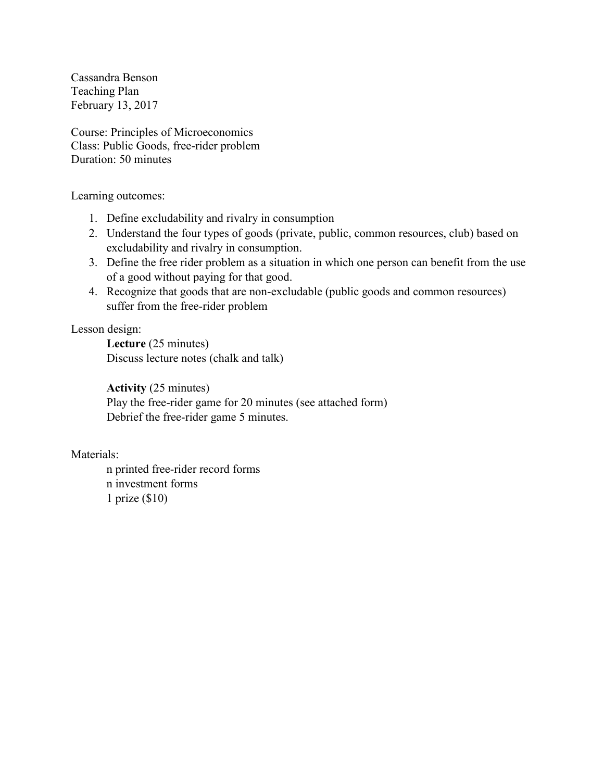Cassandra Benson Teaching Plan February 13, 2017

Course: Principles of Microeconomics Class: Public Goods, free-rider problem Duration: 50 minutes

Learning outcomes:

- 1. Define excludability and rivalry in consumption
- 2. Understand the four types of goods (private, public, common resources, club) based on excludability and rivalry in consumption.
- 3. Define the free rider problem as a situation in which one person can benefit from the use of a good without paying for that good.
- 4. Recognize that goods that are non-excludable (public goods and common resources) suffer from the free-rider problem

Lesson design:

**Lecture** (25 minutes) Discuss lecture notes (chalk and talk)

**Activity** (25 minutes) Play the free-rider game for 20 minutes (see attached form) Debrief the free-rider game 5 minutes.

Materials:

n printed free-rider record forms n investment forms 1 prize (\$10)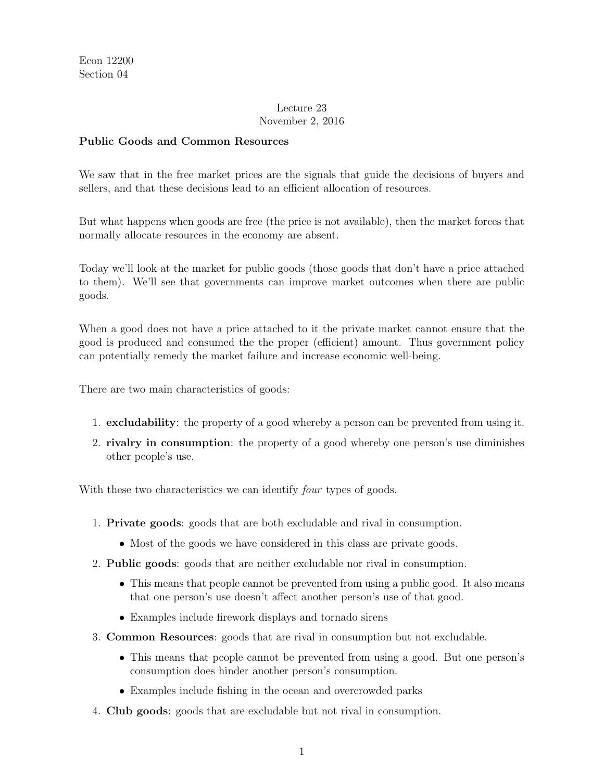### Lecture 23 November 2, 2016

### Public Goods and Common Resources

We saw that in the free market prices are the signals that guide the decisions of buyers and sellers, and that these decisions lead to an efficient allocation of resources.

But what happens when goods are free (the price is not available), then the market forces that normally allocate resources in the economy are absent.

Today we'll look at the market for public goods (those goods that don't have a price attached to them). We'll see that governments can improve market outcomes when there are public goods.

When a good does not have a price attached to it the private market cannot ensure that the good is produced and consumed the the proper (efficient) amount. Thus government policy can potentially remedy the market failure and increase economic well-being.

There are two main characteristics of goods:

- 1. excludability: the property of a good whereby a person can be prevented from using it.
- 2. rivalry in consumption: the property of a good whereby one person's use diminishes other people's use.

With these two characteristics we can identify *four* types of goods.

- 1. Private goods: goods that are both excludable and rival in consumption.
	- Most of the goods we have considered in this class are private goods.
- 2. Public goods: goods that are neither excludable nor rival in consumption.
	- This means that people cannot be prevented from using a public good. It also means that one person's use doesn't affect another person's use of that good.
	- *•* Examples include firework displays and tornado sirens
- 3. Common Resources: goods that are rival in consumption but not excludable.
	- This means that people cannot be prevented from using a good. But one person's consumption does hinder another person's consumption.
	- *•* Examples include fishing in the ocean and overcrowded parks
- 4. Club goods: goods that are excludable but not rival in consumption.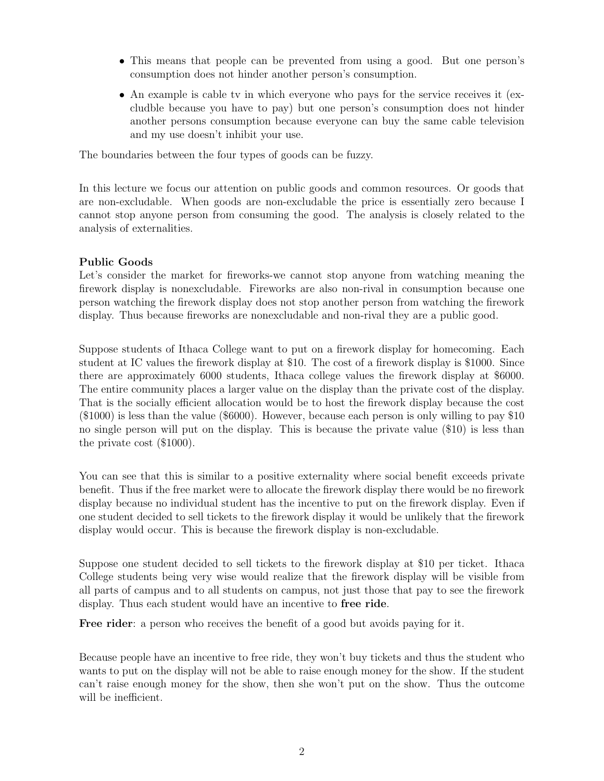- This means that people can be prevented from using a good. But one person's consumption does not hinder another person's consumption.
- An example is cable tv in which everyone who pays for the service receives it (excludble because you have to pay) but one person's consumption does not hinder another persons consumption because everyone can buy the same cable television and my use doesn't inhibit your use.

The boundaries between the four types of goods can be fuzzy.

In this lecture we focus our attention on public goods and common resources. Or goods that are non-excludable. When goods are non-excludable the price is essentially zero because I cannot stop anyone person from consuming the good. The analysis is closely related to the analysis of externalities.

### Public Goods

Let's consider the market for fireworks-we cannot stop anyone from watching meaning the firework display is nonexcludable. Fireworks are also non-rival in consumption because one person watching the firework display does not stop another person from watching the firework display. Thus because fireworks are nonexcludable and non-rival they are a public good.

Suppose students of Ithaca College want to put on a firework display for homecoming. Each student at IC values the firework display at \$10. The cost of a firework display is \$1000. Since there are approximately 6000 students, Ithaca college values the firework display at \$6000. The entire community places a larger value on the display than the private cost of the display. That is the socially efficient allocation would be to host the firework display because the cost (\$1000) is less than the value (\$6000). However, because each person is only willing to pay \$10 no single person will put on the display. This is because the private value (\$10) is less than the private cost (\$1000).

You can see that this is similar to a positive externality where social benefit exceeds private benefit. Thus if the free market were to allocate the firework display there would be no firework display because no individual student has the incentive to put on the firework display. Even if one student decided to sell tickets to the firework display it would be unlikely that the firework display would occur. This is because the firework display is non-excludable.

Suppose one student decided to sell tickets to the firework display at \$10 per ticket. Ithaca College students being very wise would realize that the firework display will be visible from all parts of campus and to all students on campus, not just those that pay to see the firework display. Thus each student would have an incentive to free ride.

Free rider: a person who receives the benefit of a good but avoids paying for it.

Because people have an incentive to free ride, they won't buy tickets and thus the student who wants to put on the display will not be able to raise enough money for the show. If the student can't raise enough money for the show, then she won't put on the show. Thus the outcome will be inefficient.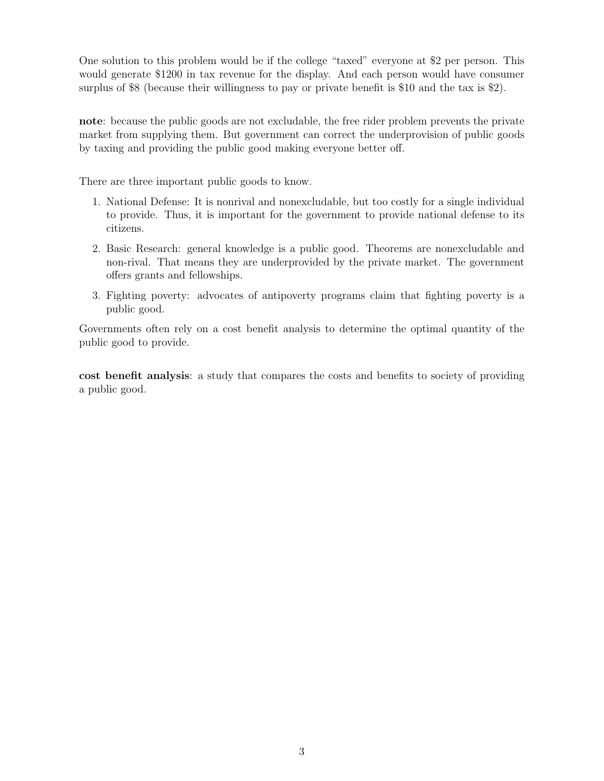One solution to this problem would be if the college "taxed" everyone at \$2 per person. This would generate \$1200 in tax revenue for the display. And each person would have consumer surplus of \$8 (because their willingness to pay or private benefit is \$10 and the tax is \$2).

note: because the public goods are not excludable, the free rider problem prevents the private market from supplying them. But government can correct the underprovision of public goods by taxing and providing the public good making everyone better off.

There are three important public goods to know.

- 1. National Defense: It is nonrival and nonexcludable, but too costly for a single individual to provide. Thus, it is important for the government to provide national defense to its citizens.
- 2. Basic Research: general knowledge is a public good. Theorems are nonexcludable and non-rival. That means they are underprovided by the private market. The government offers grants and fellowships.
- 3. Fighting poverty: advocates of antipoverty programs claim that fighting poverty is a public good.

Governments often rely on a cost benefit analysis to determine the optimal quantity of the public good to provide.

cost benefit analysis: a study that compares the costs and benefits to society of providing a public good.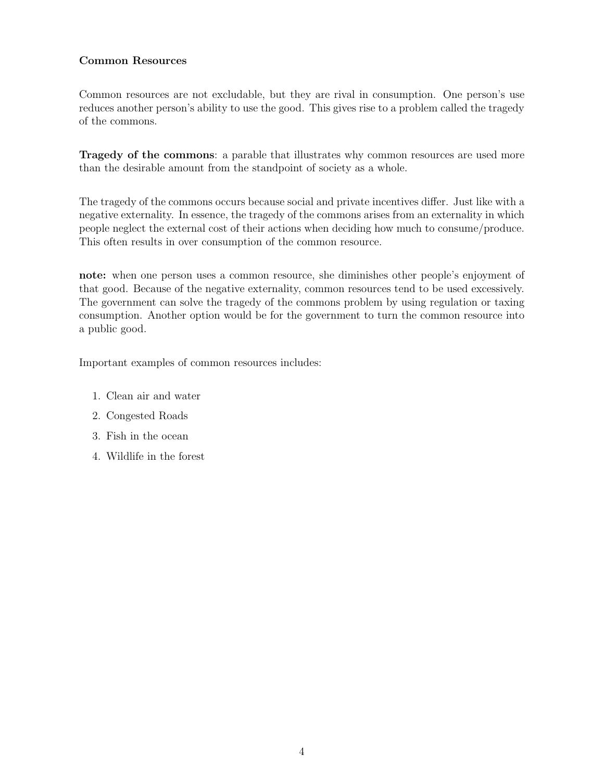### Common Resources

Common resources are not excludable, but they are rival in consumption. One person's use reduces another person's ability to use the good. This gives rise to a problem called the tragedy of the commons.

Tragedy of the commons: a parable that illustrates why common resources are used more than the desirable amount from the standpoint of society as a whole.

The tragedy of the commons occurs because social and private incentives differ. Just like with a negative externality. In essence, the tragedy of the commons arises from an externality in which people neglect the external cost of their actions when deciding how much to consume/produce. This often results in over consumption of the common resource.

note: when one person uses a common resource, she diminishes other people's enjoyment of that good. Because of the negative externality, common resources tend to be used excessively. The government can solve the tragedy of the commons problem by using regulation or taxing consumption. Another option would be for the government to turn the common resource into a public good.

Important examples of common resources includes:

- 1. Clean air and water
- 2. Congested Roads
- 3. Fish in the ocean
- 4. Wildlife in the forest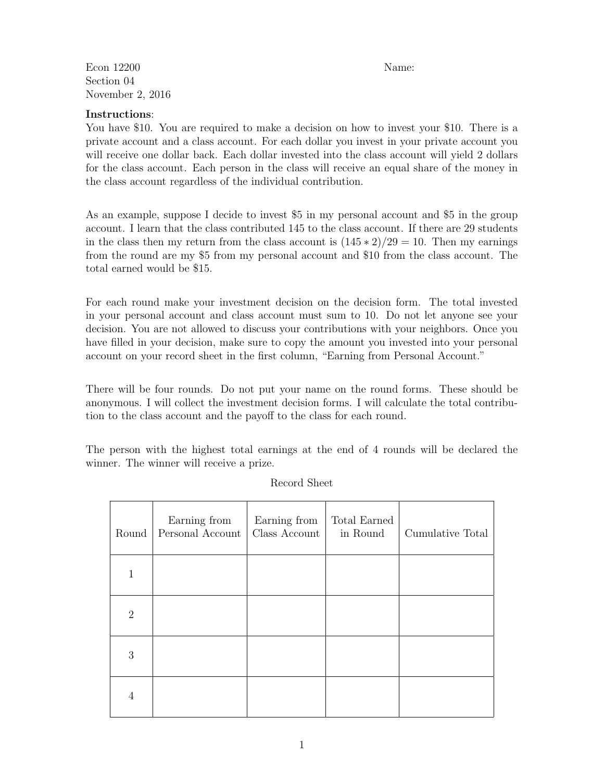Econ 12200 Name: Section 04 November 2, 2016

#### Instructions:

You have \$10. You are required to make a decision on how to invest your \$10. There is a private account and a class account. For each dollar you invest in your private account you will receive one dollar back. Each dollar invested into the class account will yield 2 dollars for the class account. Each person in the class will receive an equal share of the money in the class account regardless of the individual contribution.

As an example, suppose I decide to invest \$5 in my personal account and \$5 in the group account. I learn that the class contributed 145 to the class account. If there are 29 students in the class then my return from the class account is  $(145 * 2)/29 = 10$ . Then my earnings from the round are my \$5 from my personal account and \$10 from the class account. The total earned would be \$15.

For each round make your investment decision on the decision form. The total invested in your personal account and class account must sum to 10. Do not let anyone see your decision. You are not allowed to discuss your contributions with your neighbors. Once you have filled in your decision, make sure to copy the amount you invested into your personal account on your record sheet in the first column, "Earning from Personal Account."

There will be four rounds. Do not put your name on the round forms. These should be anonymous. I will collect the investment decision forms. I will calculate the total contribution to the class account and the payoff to the class for each round.

The person with the highest total earnings at the end of 4 rounds will be declared the winner. The winner will receive a prize.

| Round          | Earning from<br>Personal Account | Earning from<br>Class Account | Total Earned<br>in Round | Cumulative Total |
|----------------|----------------------------------|-------------------------------|--------------------------|------------------|
| 1              |                                  |                               |                          |                  |
| $\overline{2}$ |                                  |                               |                          |                  |
| 3              |                                  |                               |                          |                  |
| 4              |                                  |                               |                          |                  |

Record Sheet